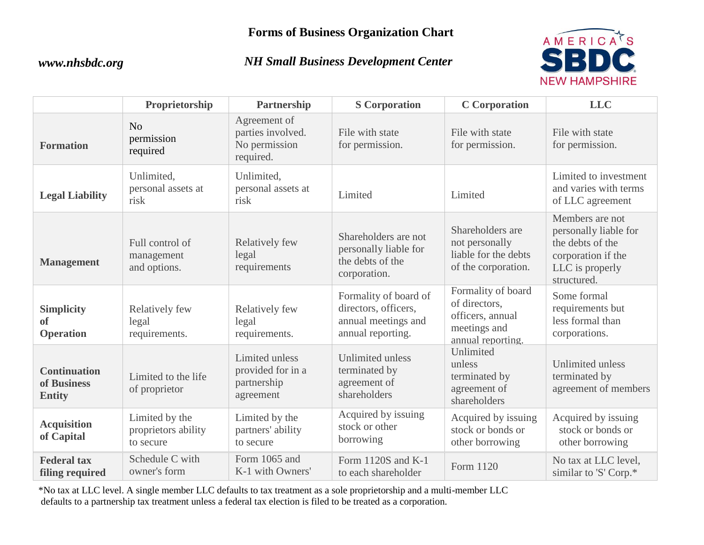### **Forms of Business Organization Chart**

### *www.nhsbdc.org NH Small Business Development Center*



|                                                     | Proprietorship                                     | Partnership                                                     | <b>S</b> Corporation                                                                      | <b>C</b> Corporation                                                                         | <b>LLC</b>                                                                                                           |
|-----------------------------------------------------|----------------------------------------------------|-----------------------------------------------------------------|-------------------------------------------------------------------------------------------|----------------------------------------------------------------------------------------------|----------------------------------------------------------------------------------------------------------------------|
| <b>Formation</b>                                    | No<br>permission<br>required                       | Agreement of<br>parties involved.<br>No permission<br>required. | File with state<br>for permission.                                                        | File with state<br>for permission.                                                           | File with state<br>for permission.                                                                                   |
| <b>Legal Liability</b>                              | Unlimited,<br>personal assets at<br>risk           | Unlimited,<br>personal assets at<br>risk                        | Limited                                                                                   | Limited                                                                                      | Limited to investment<br>and varies with terms<br>of LLC agreement                                                   |
| <b>Management</b>                                   | Full control of<br>management<br>and options.      | Relatively few<br>legal<br>requirements                         | Shareholders are not<br>personally liable for<br>the debts of the<br>corporation.         | Shareholders are<br>not personally<br>liable for the debts<br>of the corporation.            | Members are not<br>personally liable for<br>the debts of the<br>corporation if the<br>LLC is properly<br>structured. |
| <b>Simplicity</b><br><b>of</b><br><b>Operation</b>  | Relatively few<br>legal<br>requirements.           | Relatively few<br>legal<br>requirements.                        | Formality of board of<br>directors, officers,<br>annual meetings and<br>annual reporting. | Formality of board<br>of directors,<br>officers, annual<br>meetings and<br>annual reporting. | Some formal<br>requirements but<br>less formal than<br>corporations.                                                 |
| <b>Continuation</b><br>of Business<br><b>Entity</b> | Limited to the life<br>of proprietor               | Limited unless<br>provided for in a<br>partnership<br>agreement | <b>Unlimited unless</b><br>terminated by<br>agreement of<br>shareholders                  | Unlimited<br>unless<br>terminated by<br>agreement of<br>shareholders                         | Unlimited unless<br>terminated by<br>agreement of members                                                            |
| <b>Acquisition</b><br>of Capital                    | Limited by the<br>proprietors ability<br>to secure | Limited by the<br>partners' ability<br>to secure                | Acquired by issuing<br>stock or other<br>borrowing                                        | Acquired by issuing<br>stock or bonds or<br>other borrowing                                  | Acquired by issuing<br>stock or bonds or<br>other borrowing                                                          |
| <b>Federal tax</b><br>filing required               | Schedule C with<br>owner's form                    | Form 1065 and<br>K-1 with Owners'                               | Form 1120S and K-1<br>to each shareholder                                                 | Form 1120                                                                                    | No tax at LLC level,<br>similar to 'S' Corp.*                                                                        |

\*No tax at LLC level. A single member LLC defaults to tax treatment as a sole proprietorship and a multi-member LLC defaults to a partnership tax treatment unless a federal tax election is filed to be treated as a corporation.